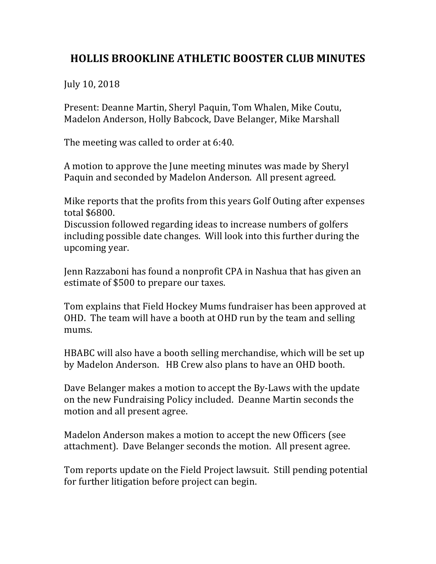## **HOLLIS BROOKLINE ATHLETIC BOOSTER CLUB MINUTES**

July 10, 2018

Present: Deanne Martin, Sheryl Paquin, Tom Whalen, Mike Coutu, Madelon Anderson, Holly Babcock, Dave Belanger, Mike Marshall

The meeting was called to order at 6:40.

A motion to approve the June meeting minutes was made by Sheryl Paquin and seconded by Madelon Anderson. All present agreed.

Mike reports that the profits from this years Golf Outing after expenses total \$6800.

Discussion followed regarding ideas to increase numbers of golfers including possible date changes. Will look into this further during the upcoming year.

Jenn Razzaboni has found a nonprofit CPA in Nashua that has given an estimate of \$500 to prepare our taxes.

Tom explains that Field Hockey Mums fundraiser has been approved at OHD. The team will have a booth at OHD run by the team and selling mums. 

HBABC will also have a booth selling merchandise, which will be set up by Madelon Anderson. HB Crew also plans to have an OHD booth.

Dave Belanger makes a motion to accept the By-Laws with the update on the new Fundraising Policy included. Deanne Martin seconds the motion and all present agree.

Madelon Anderson makes a motion to accept the new Officers (see attachment). Dave Belanger seconds the motion. All present agree.

Tom reports update on the Field Project lawsuit. Still pending potential for further litigation before project can begin.